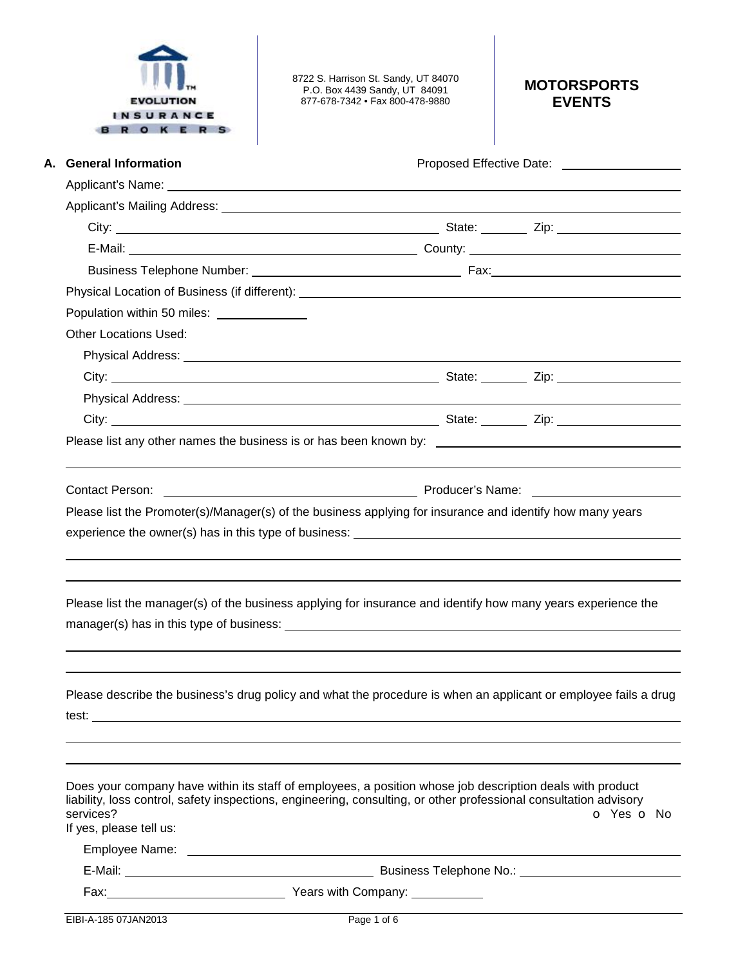| <b>EVOLUTION</b> |
|------------------|
| INSURANCE        |
|                  |

8722 S. Harrison St. Sandy, UT 84070 P.O. Box 4439 Sandy, UT 84091 877-678-7342 • Fax 800-478-9880

# **MOTORSPORTS EVENTS**

| A. General Information                                                                                                                                                                                                               |  |                                                                                                                                                                                                                                |  |            |
|--------------------------------------------------------------------------------------------------------------------------------------------------------------------------------------------------------------------------------------|--|--------------------------------------------------------------------------------------------------------------------------------------------------------------------------------------------------------------------------------|--|------------|
| Applicant's Name: <u>example and a series of the series of the series of the series of the series of the series of the series of the series of the series of the series of the series of the series of the series of the series </u> |  |                                                                                                                                                                                                                                |  |            |
| Applicant's Mailing Address: National Accounts and Applicant's Mailing Address:                                                                                                                                                      |  |                                                                                                                                                                                                                                |  |            |
|                                                                                                                                                                                                                                      |  |                                                                                                                                                                                                                                |  |            |
|                                                                                                                                                                                                                                      |  |                                                                                                                                                                                                                                |  |            |
|                                                                                                                                                                                                                                      |  |                                                                                                                                                                                                                                |  |            |
|                                                                                                                                                                                                                                      |  |                                                                                                                                                                                                                                |  |            |
| Population within 50 miles: ______________                                                                                                                                                                                           |  |                                                                                                                                                                                                                                |  |            |
| <b>Other Locations Used:</b>                                                                                                                                                                                                         |  |                                                                                                                                                                                                                                |  |            |
|                                                                                                                                                                                                                                      |  |                                                                                                                                                                                                                                |  |            |
|                                                                                                                                                                                                                                      |  |                                                                                                                                                                                                                                |  |            |
|                                                                                                                                                                                                                                      |  |                                                                                                                                                                                                                                |  |            |
|                                                                                                                                                                                                                                      |  |                                                                                                                                                                                                                                |  |            |
|                                                                                                                                                                                                                                      |  |                                                                                                                                                                                                                                |  |            |
|                                                                                                                                                                                                                                      |  |                                                                                                                                                                                                                                |  |            |
|                                                                                                                                                                                                                                      |  |                                                                                                                                                                                                                                |  |            |
|                                                                                                                                                                                                                                      |  |                                                                                                                                                                                                                                |  |            |
| <b>Contact Person:</b>                                                                                                                                                                                                               |  |                                                                                                                                                                                                                                |  |            |
|                                                                                                                                                                                                                                      |  | Please list the Promoter(s)/Manager(s) of the business applying for insurance and identify how many years                                                                                                                      |  |            |
|                                                                                                                                                                                                                                      |  |                                                                                                                                                                                                                                |  |            |
|                                                                                                                                                                                                                                      |  |                                                                                                                                                                                                                                |  |            |
|                                                                                                                                                                                                                                      |  |                                                                                                                                                                                                                                |  |            |
|                                                                                                                                                                                                                                      |  | Please list the manager(s) of the business applying for insurance and identify how many years experience the                                                                                                                   |  |            |
|                                                                                                                                                                                                                                      |  |                                                                                                                                                                                                                                |  |            |
|                                                                                                                                                                                                                                      |  |                                                                                                                                                                                                                                |  |            |
|                                                                                                                                                                                                                                      |  |                                                                                                                                                                                                                                |  |            |
|                                                                                                                                                                                                                                      |  |                                                                                                                                                                                                                                |  |            |
|                                                                                                                                                                                                                                      |  | Please describe the business's drug policy and what the procedure is when an applicant or employee fails a drug                                                                                                                |  |            |
|                                                                                                                                                                                                                                      |  |                                                                                                                                                                                                                                |  |            |
|                                                                                                                                                                                                                                      |  |                                                                                                                                                                                                                                |  |            |
| services?<br>If yes, please tell us:                                                                                                                                                                                                 |  | Does your company have within its staff of employees, a position whose job description deals with product<br>liability, loss control, safety inspections, engineering, consulting, or other professional consultation advisory |  |            |
|                                                                                                                                                                                                                                      |  |                                                                                                                                                                                                                                |  |            |
|                                                                                                                                                                                                                                      |  |                                                                                                                                                                                                                                |  | O Yes O No |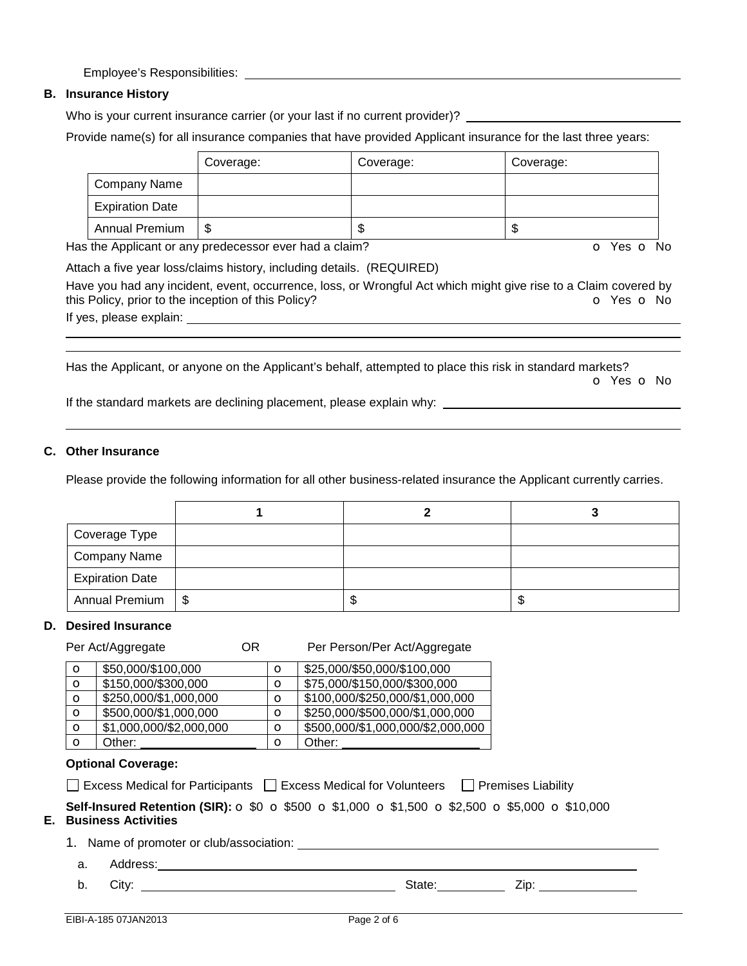Employee's Responsibilities:

## **B. Insurance History**

Who is your current insurance carrier (or your last if no current provider)?

Provide name(s) for all insurance companies that have provided Applicant insurance for the last three years:

|                        | Coverage: | Coverage: | Coverage: |
|------------------------|-----------|-----------|-----------|
| Company Name           |           |           |           |
| <b>Expiration Date</b> |           |           |           |
| Annual Premium         | S         | ۰D        | ۰IJ       |

Has the Applicant or any predecessor ever had a claim? The Contract of Monocontroller of Yes **o** No

Attach a five year loss/claims history, including details. (REQUIRED) Have you had any incident, event, occurrence, loss, or Wrongful Act which might give rise to a Claim covered by this Policy, prior to the inception of this Policy? **o** Yes **o** No

If yes, please explain:

 

Has the Applicant, or anyone on the Applicant's behalf, attempted to place this risk in standard markets? o Yes o No

If the standard markets are declining placement, please explain why:

## **C. Other Insurance**

Please provide the following information for all other business-related insurance the Applicant currently carries.

| Coverage Type          |  |   |
|------------------------|--|---|
| <b>Company Name</b>    |  |   |
| <b>Expiration Date</b> |  |   |
| Annual Premium   \$    |  | Œ |

### **D. Desired Insurance**

Per Act/Aggregate **OR** Per Person/Per Act/Aggregate  $\bullet$  \$50,000/\$100,000  $\bullet$   $\bullet$  \$25,000/\$50,000/\$100,000  $\bullet$  \$150,000/\$300,000  $\bullet$  \$75,000/\$150,000/\$300,000  $\bullet$  \$250,000/\$1,000,000  $\bullet$   $\bullet$  \$100,000/\$250,000/\$1,000,000  $\bullet$  \$500,000/\$1,000,000  $\bullet$  \$250,000/\$500,000/\$1,000,000  $\bullet$  | \$1,000,000/\$2,000,000  $\bullet$  | \$500,000/\$1,000,000/\$2,000,000 **o** Other: **o** Other:

### **Optional Coverage:**

| □ Excess Medical for Participants □ Excess Medical for Volunteers |  | $\Box$ Premises Liability |
|-------------------------------------------------------------------|--|---------------------------|
|-------------------------------------------------------------------|--|---------------------------|

**Self-Insured Retention (SIR):** o \$0 o \$500 o \$1,000 o \$1,500 o \$2,500 o \$5,000 o \$10,000

## **E. Business Activities**

1. Name of promoter or club/association:

a. Address:

b. City: State: Zip: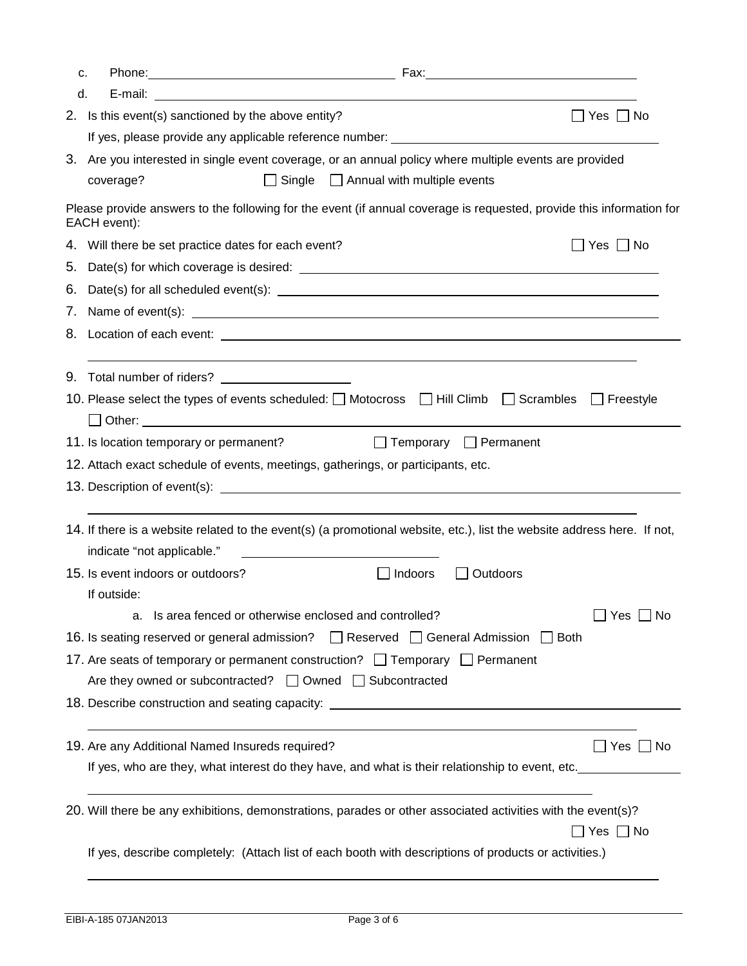| c. |                                                                                                        |                                                                                                                         |
|----|--------------------------------------------------------------------------------------------------------|-------------------------------------------------------------------------------------------------------------------------|
| d. |                                                                                                        |                                                                                                                         |
|    | 2. Is this event(s) sanctioned by the above entity?                                                    | $\Box$ Yes $\Box$ No                                                                                                    |
|    |                                                                                                        | If yes, please provide any applicable reference number: example and all the state of the state of the state of          |
|    | 3. Are you interested in single event coverage, or an annual policy where multiple events are provided |                                                                                                                         |
|    | coverage?                                                                                              | $\Box$ Single $\Box$ Annual with multiple events                                                                        |
|    | EACH event):                                                                                           | Please provide answers to the following for the event (if annual coverage is requested, provide this information for    |
|    | 4. Will there be set practice dates for each event?                                                    | Yes □ No                                                                                                                |
| 5. |                                                                                                        |                                                                                                                         |
| 6. |                                                                                                        |                                                                                                                         |
|    |                                                                                                        |                                                                                                                         |
|    |                                                                                                        |                                                                                                                         |
|    |                                                                                                        |                                                                                                                         |
|    | 10. Please select the types of events scheduled: $\Box$ Motocross $\Box$ Hill Climb $\Box$ Scrambles   | $\Box$ Freestyle                                                                                                        |
|    | 11. Is location temporary or permanent?                                                                | Temporary Permanent                                                                                                     |
|    | 12. Attach exact schedule of events, meetings, gatherings, or participants, etc.                       |                                                                                                                         |
|    |                                                                                                        |                                                                                                                         |
|    |                                                                                                        | 14. If there is a website related to the event(s) (a promotional website, etc.), list the website address here. If not, |
|    | indicate "not applicable."                                                                             |                                                                                                                         |
|    | 15. Is event indoors or outdoors?                                                                      | $\Box$ Indoors<br>$\Box$ Outdoors                                                                                       |
|    | If outside:                                                                                            |                                                                                                                         |
|    | a. Is area fenced or otherwise enclosed and controlled?                                                | $\Box$ Yes $\Box$ No                                                                                                    |
|    | 16. Is seating reserved or general admission?   Reserved   General Admission   Both                    |                                                                                                                         |
|    | 17. Are seats of temporary or permanent construction? $\Box$ Temporary $\Box$ Permanent                |                                                                                                                         |
|    | Are they owned or subcontracted? $\Box$ Owned $\Box$ Subcontracted                                     |                                                                                                                         |
|    |                                                                                                        |                                                                                                                         |
|    | 19. Are any Additional Named Insureds required?                                                        | $\Box$ Yes $\Box$ No                                                                                                    |
|    |                                                                                                        | If yes, who are they, what interest do they have, and what is their relationship to event, etc.                         |
|    |                                                                                                        | 20. Will there be any exhibitions, demonstrations, parades or other associated activities with the event(s)?            |
|    |                                                                                                        |                                                                                                                         |
|    |                                                                                                        | ]Yes □ No                                                                                                               |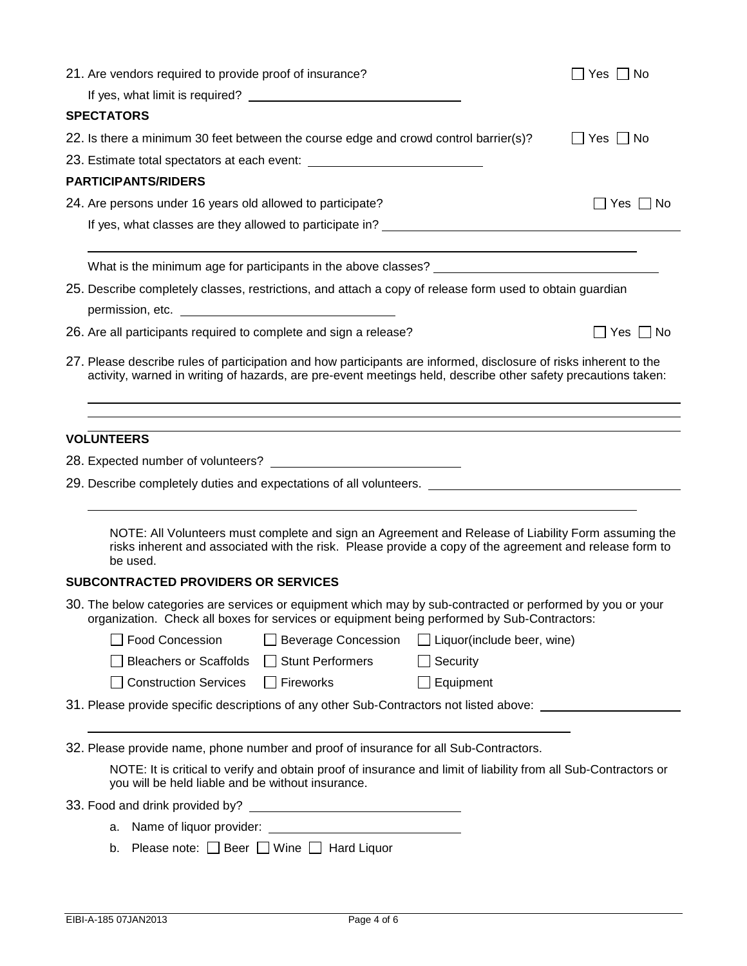| 21. Are vendors required to provide proof of insurance?                                                                                                                                                                            | Yes $\Box$ No        |
|------------------------------------------------------------------------------------------------------------------------------------------------------------------------------------------------------------------------------------|----------------------|
|                                                                                                                                                                                                                                    |                      |
| <b>SPECTATORS</b>                                                                                                                                                                                                                  |                      |
| 22. Is there a minimum 30 feet between the course edge and crowd control barrier(s)?                                                                                                                                               | $\Box$ Yes $\Box$ No |
| 23. Estimate total spectators at each event: ___________________________________                                                                                                                                                   |                      |
| <b>PARTICIPANTS/RIDERS</b>                                                                                                                                                                                                         |                      |
| 24. Are persons under 16 years old allowed to participate?                                                                                                                                                                         | ∐ Yes ∐ No           |
|                                                                                                                                                                                                                                    |                      |
|                                                                                                                                                                                                                                    |                      |
| 25. Describe completely classes, restrictions, and attach a copy of release form used to obtain guardian                                                                                                                           |                      |
| 26. Are all participants required to complete and sign a release?                                                                                                                                                                  | $\Box$ Yes $\Box$ No |
| 27. Please describe rules of participation and how participants are informed, disclosure of risks inherent to the<br>activity, warned in writing of hazards, are pre-event meetings held, describe other safety precautions taken: |                      |
|                                                                                                                                                                                                                                    |                      |
| <b>VOLUNTEERS</b>                                                                                                                                                                                                                  |                      |
|                                                                                                                                                                                                                                    |                      |
| 29. Describe completely duties and expectations of all volunteers. ________________________________                                                                                                                                |                      |
|                                                                                                                                                                                                                                    |                      |
| NOTE: All Volunteers must complete and sign an Agreement and Release of Liability Form assuming the<br>risks inherent and associated with the risk. Please provide a copy of the agreement and release form to<br>be used.         |                      |
| <b>SUBCONTRACTED PROVIDERS OR SERVICES</b>                                                                                                                                                                                         |                      |
| 30. The below categories are services or equipment which may by sub-contracted or performed by you or your<br>organization. Check all boxes for services or equipment being performed by Sub-Contractors:                          |                      |
| □ Food Concession<br>□ Beverage Concession<br>$\Box$ Liquor(include beer, wine)                                                                                                                                                    |                      |
| <b>Bleachers or Scaffolds</b><br>□ Stunt Performers<br>Security                                                                                                                                                                    |                      |
| Construction Services □ Fireworks<br>Equipment                                                                                                                                                                                     |                      |
| 31. Please provide specific descriptions of any other Sub-Contractors not listed above:                                                                                                                                            |                      |
|                                                                                                                                                                                                                                    |                      |
| 32. Please provide name, phone number and proof of insurance for all Sub-Contractors.                                                                                                                                              |                      |
| NOTE: It is critical to verify and obtain proof of insurance and limit of liability from all Sub-Contractors or<br>you will be held liable and be without insurance.                                                               |                      |
|                                                                                                                                                                                                                                    |                      |
|                                                                                                                                                                                                                                    |                      |
| Please note: □ Beer □ Wine □ Hard Liquor<br>b.                                                                                                                                                                                     |                      |
|                                                                                                                                                                                                                                    |                      |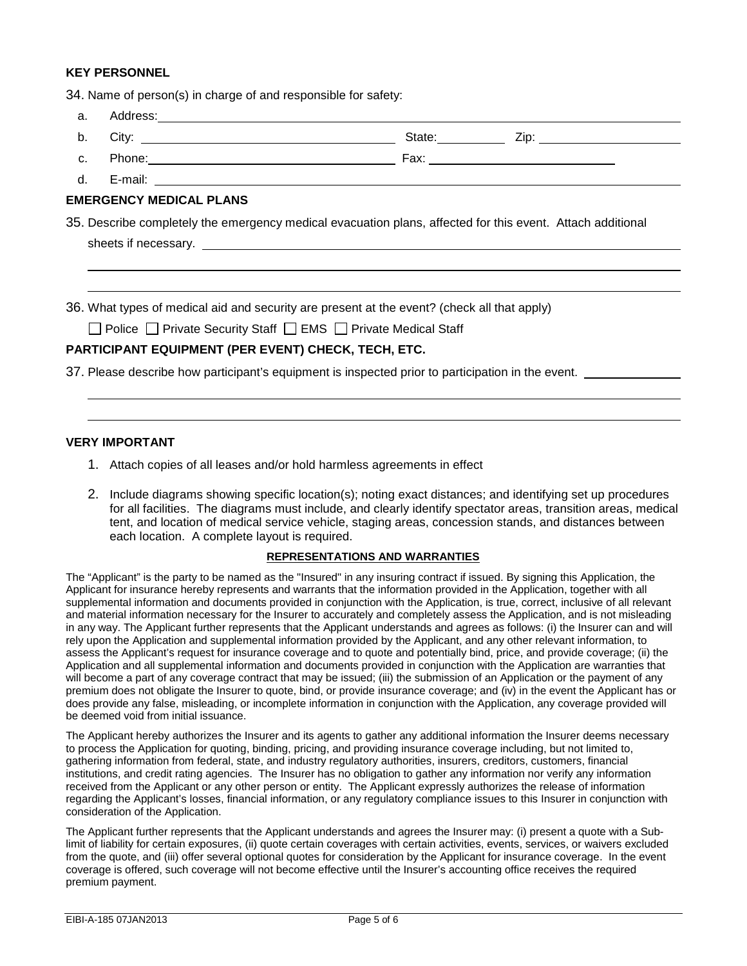### **KEY PERSONNEL**

34. Name of person(s) in charge of and responsible for safety:

| a.             |                                                                                                               |                                                                                                            |                             |
|----------------|---------------------------------------------------------------------------------------------------------------|------------------------------------------------------------------------------------------------------------|-----------------------------|
| b.             |                                                                                                               |                                                                                                            | State: <u>Zip: Zip: 210</u> |
| C <sub>1</sub> | Phone: 2008 2009 2010 2020 2021 2022 2023 2024 2022 2022 2023 2024 2022 2023 2024 2022 2023 2024 2022 2023 20 |                                                                                                            |                             |
|                |                                                                                                               |                                                                                                            |                             |
|                | <b>EMERGENCY MEDICAL PLANS</b>                                                                                |                                                                                                            |                             |
|                |                                                                                                               | 35. Describe completely the emergency medical evacuation plans, affected for this event. Attach additional |                             |
|                |                                                                                                               |                                                                                                            |                             |
|                |                                                                                                               |                                                                                                            |                             |
|                |                                                                                                               |                                                                                                            |                             |
|                |                                                                                                               | 36. What types of medical aid and security are present at the event? (check all that apply)                |                             |
|                |                                                                                                               | □ Police □ Private Security Staff □ EMS □ Private Medical Staff                                            |                             |

## **PARTICIPANT EQUIPMENT (PER EVENT) CHECK, TECH, ETC.**

37. Please describe how participant's equipment is inspected prior to participation in the event.

## **VERY IMPORTANT**

 

- 1. Attach copies of all leases and/or hold harmless agreements in effect
- 2. Include diagrams showing specific location(s); noting exact distances; and identifying set up procedures for all facilities. The diagrams must include, and clearly identify spectator areas, transition areas, medical tent, and location of medical service vehicle, staging areas, concession stands, and distances between each location. A complete layout is required.

#### **REPRESENTATIONS AND WARRANTIES**

The "Applicant" is the party to be named as the "Insured" in any insuring contract if issued. By signing this Application, the Applicant for insurance hereby represents and warrants that the information provided in the Application, together with all supplemental information and documents provided in conjunction with the Application, is true, correct, inclusive of all relevant and material information necessary for the Insurer to accurately and completely assess the Application, and is not misleading in any way. The Applicant further represents that the Applicant understands and agrees as follows: (i) the Insurer can and will rely upon the Application and supplemental information provided by the Applicant, and any other relevant information, to assess the Applicant's request for insurance coverage and to quote and potentially bind, price, and provide coverage; (ii) the Application and all supplemental information and documents provided in conjunction with the Application are warranties that will become a part of any coverage contract that may be issued; (iii) the submission of an Application or the payment of any premium does not obligate the Insurer to quote, bind, or provide insurance coverage; and (iv) in the event the Applicant has or does provide any false, misleading, or incomplete information in conjunction with the Application, any coverage provided will be deemed void from initial issuance.

The Applicant hereby authorizes the Insurer and its agents to gather any additional information the Insurer deems necessary to process the Application for quoting, binding, pricing, and providing insurance coverage including, but not limited to, gathering information from federal, state, and industry regulatory authorities, insurers, creditors, customers, financial institutions, and credit rating agencies. The Insurer has no obligation to gather any information nor verify any information received from the Applicant or any other person or entity. The Applicant expressly authorizes the release of information regarding the Applicant's losses, financial information, or any regulatory compliance issues to this Insurer in conjunction with consideration of the Application.

The Applicant further represents that the Applicant understands and agrees the Insurer may: (i) present a quote with a Sublimit of liability for certain exposures, (ii) quote certain coverages with certain activities, events, services, or waivers excluded from the quote, and (iii) offer several optional quotes for consideration by the Applicant for insurance coverage. In the event coverage is offered, such coverage will not become effective until the Insurer's accounting office receives the required premium payment.